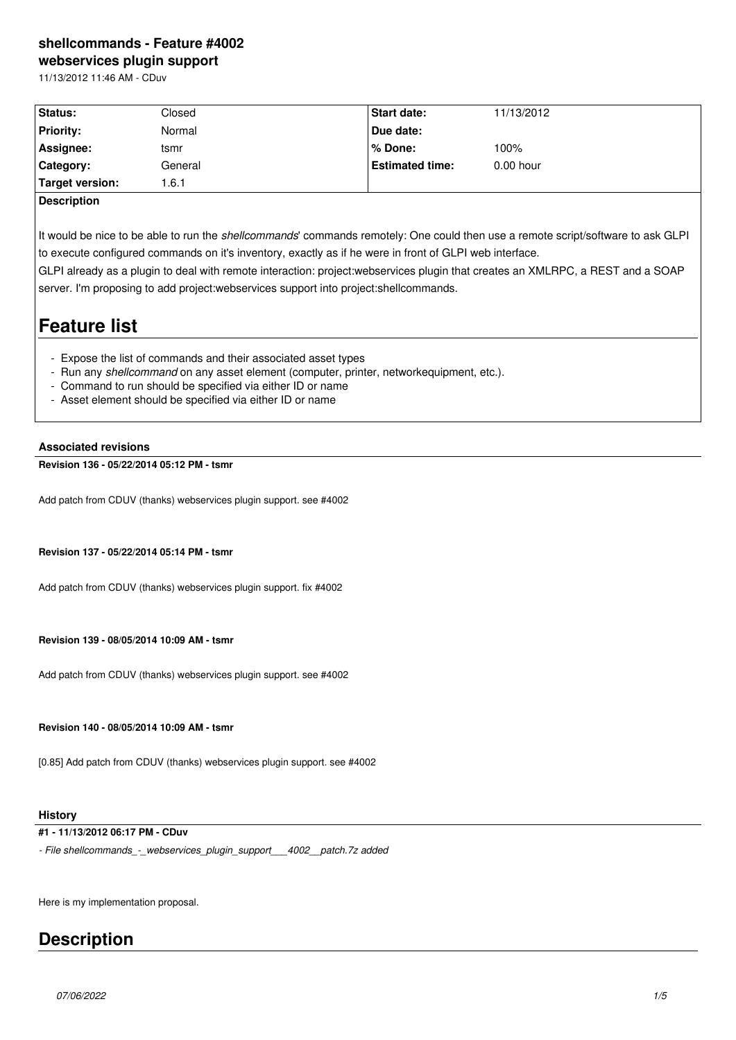## **shellcommands - Feature #4002 webservices plugin support**

11/13/2012 11:46 AM - CDuv

| Status:          | Closed  | <b>Start date:</b>     | 11/13/2012  |
|------------------|---------|------------------------|-------------|
| <b>Priority:</b> | Normal  | Due date:              |             |
| Assignee:        | tsmr    | l % Done:              | 100%        |
| Category:        | General | <b>Estimated time:</b> | $0.00$ hour |
| Target version:  | .6.1    |                        |             |

## **Description**

It would be nice to be able to run the *shellcommands*' commands remotely: One could then use a remote script/software to ask GLPI to execute configured commands on it's inventory, exactly as if he were in front of GLPI web interface.

GLPI already as a plugin to deal with remote interaction: project:webservices plugin that creates an XMLRPC, a REST and a SOAP server. I'm proposing to add project:webservices support into project:shellcommands.

# **Feature list**

- Expose the list of commands and their associated asset types
- Run any *shellcommand* on any asset element (computer, printer, networkequipment, etc.).
- Command to run should be specified via either ID or name
- Asset element should be specified via either ID or name

#### **Associated revisions**

#### **Revision 136 - 05/22/2014 05:12 PM - tsmr**

Add patch from CDUV (thanks) webservices plugin support. see #4002

#### **Revision 137 - 05/22/2014 05:14 PM - tsmr**

Add patch from CDUV (thanks) webservices plugin support. fix #4002

#### **Revision 139 - 08/05/2014 10:09 AM - tsmr**

Add patch from CDUV (thanks) webservices plugin support. see #4002

**Revision 140 - 08/05/2014 10:09 AM - tsmr**

[0.85] Add patch from CDUV (thanks) webservices plugin support. see #4002

## **History**

## **#1 - 11/13/2012 06:17 PM - CDuv**

*- File shellcommands\_-\_webservices\_plugin\_support\_\_\_4002\_\_patch.7z added*

Here is my implementation proposal.

## **Description**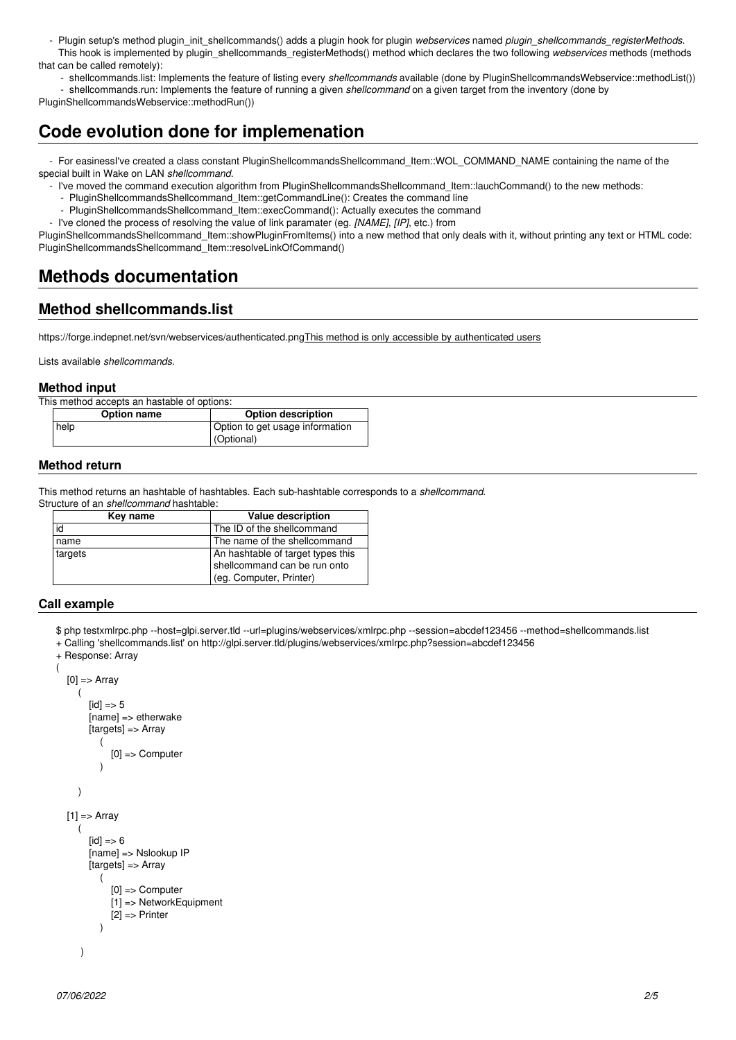- Plugin setup's method plugin\_init\_shellcommands() adds a plugin hook for plugin *webservices* named *plugin\_shellcommands\_registerMethods*. This hook is implemented by plugin\_shellcommands\_registerMethods() method which declares the two following *webservices* methods (methods that can be called remotely):

 - shellcommands.list: Implements the feature of listing every *shellcommands* available (done by PluginShellcommandsWebservice::methodList()) - shellcommands.run: Implements the feature of running a given *shellcommand* on a given target from the inventory (done by

PluginShellcommandsWebservice::methodRun())

# **Code evolution done for implemenation**

 - For easinessI've created a class constant PluginShellcommandsShellcommand\_Item::WOL\_COMMAND\_NAME containing the name of the special built in Wake on LAN *shellcommand*.

- I've moved the command execution algorithm from PluginShellcommandsShellcommand Item::lauchCommand() to the new methods:
	- PluginShellcommandsShellcommand\_Item::getCommandLine(): Creates the command line
	- PluginShellcommandsShellcommand\_Item::execCommand(): Actually executes the command
- I've cloned the process of resolving the value of link paramater (eg. *[NAME]*, *[IP]*, etc.) from

PluginShellcommandsShellcommand\_Item::showPluginFromItems() into a new method that only deals with it, without printing any text or HTML code: PluginShellcommandsShellcommand\_Item::resolveLinkOfCommand()

# **Methods documentation**

## **Method shellcommands.list**

https://forge.indepnet.net/svn/webservices/authenticated.pngThis method is only accessible by authenticated users

Lists available *shellcommands*.

## **Method input**

This method accepts an hastable of options:

| Option name | Option description              |
|-------------|---------------------------------|
| help        | Option to get usage information |
|             | (Optional)                      |
|             |                                 |

## **Method return**

This method returns an hashtable of hashtables. Each sub-hashtable corresponds to a *shellcommand*.

Structure of an *shellcommand* hashtable:

| Key name | <b>Value description</b>                                                                     |
|----------|----------------------------------------------------------------------------------------------|
| id       | The ID of the shellcommand                                                                   |
| name     | The name of the shellcommand                                                                 |
| targets  | An hashtable of target types this<br>shellcommand can be run onto<br>(eg. Computer, Printer) |

## **Call example**

(

- \$ php testxmlrpc.php --host=glpi.server.tld --url=plugins/webservices/xmlrpc.php --session=abcdef123456 --method=shellcommands.list
- + Calling 'shellcommands.list' on http://glpi.server.tld/plugins/webservices/xmlrpc.php?session=abcdef123456

```
+ Response: Array
```

```
[0] => Array
      (
        [id] => 5
         [name] => etherwake
        [targets] => Array
\sim (
               [0] => Computer
\overline{\phantom{a}} )
  [1] => Array
      (
        \text{fid} => 6
         [name] => Nslookup IP
         [targets] => Array
\overline{\phantom{a}} [0] => Computer
               [1] => NetworkEquipment
               [2] => Printer
\overline{\phantom{a}} )
```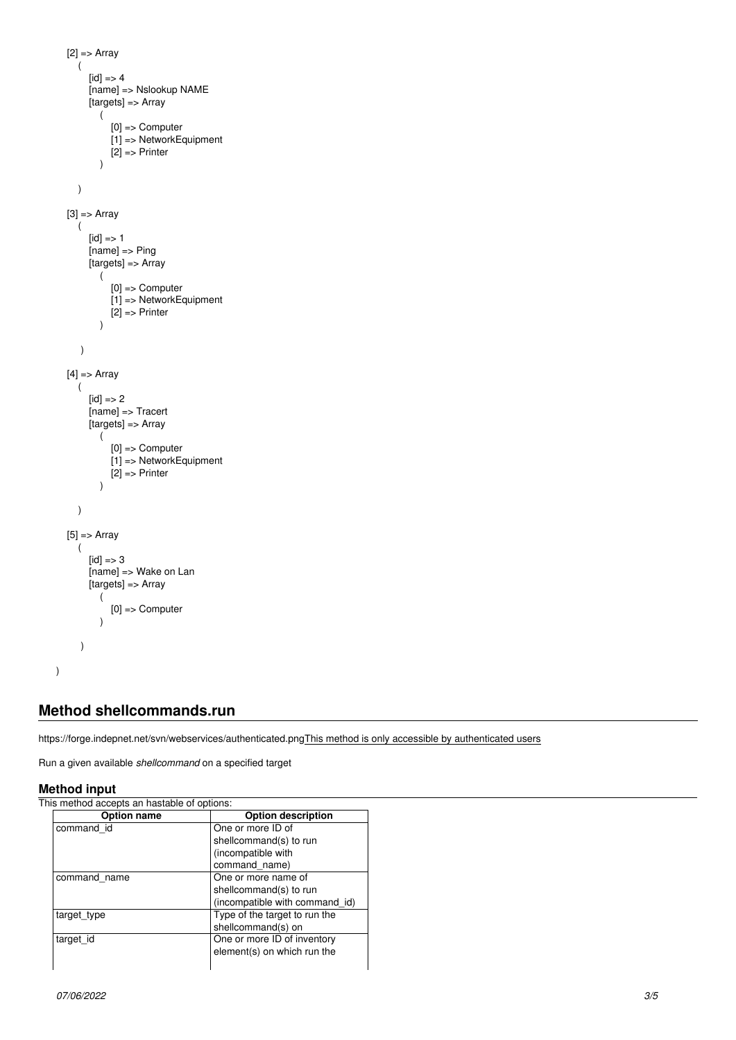```
[2] \Rightarrow Array
     (
       [id] => 4
        [name] => Nslookup NAME
       [targets] => Array
           (
              [0] => Computer
              [1] => NetworkEquipment
          [2] => Printer<br>)
 )
     )
  [3] \Rightarrow Array
     (
       [id] \Rightarrow 1[name] \Rightarrow Ping
       [targets] => Array
           (
              [0] => Computer
              [1] => NetworkEquipment
          [2] => Printer
\overline{\phantom{a}} )
  [4] => Array
     (
       [id] => 2
        [name] => Tracert
       [targets] => Array
           (
 [0] => Computer
 [1] => NetworkEquipment
             [2] \Rightarrow Printer
           )
     )
  [5] \Rightarrow Array
     (
       [id] => 3
       [name] => Wake on Lan
        [targets] => Array
           (
              [0] => Computer
           )
      )
```
## **Method shellcommands.run**

https://forge.indepnet.net/svn/webservices/authenticated.pngThis method is only accessible by authenticated users

Run a given available *shellcommand* on a specified target

## **Method input**

)

This method accepts an hastable of options:

| Option name  | <b>Option description</b>      |
|--------------|--------------------------------|
| command id   | One or more ID of              |
|              | shellcommand(s) to run         |
|              | (incompatible with             |
|              | command name)                  |
| command name | One or more name of            |
|              | shellcommand(s) to run         |
|              | (incompatible with command id) |
| target_type  | Type of the target to run the  |
|              | shellcommand(s) on             |
| target id    | One or more ID of inventory    |
|              | element(s) on which run the    |
|              |                                |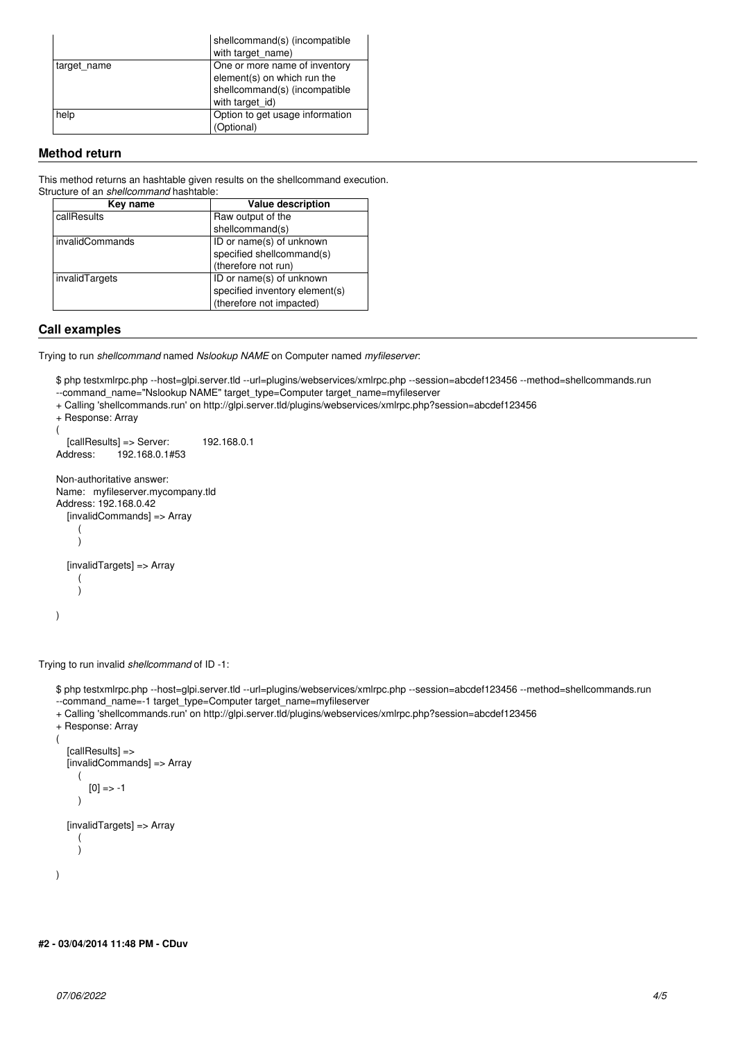|             | shellcommand(s) (incompatible   |
|-------------|---------------------------------|
|             | with target_name)               |
| target_name | One or more name of inventory   |
|             | element(s) on which run the     |
|             | shellcommand(s) (incompatible   |
|             | with target id)                 |
| help        | Option to get usage information |
|             | (Optional)                      |

## **Method return**

This method returns an hashtable given results on the shellcommand execution. Structure of an *shellcommand* hashtable:

| Key name        | <b>Value description</b>       |
|-----------------|--------------------------------|
| callResults     | Raw output of the              |
|                 | shellcommand(s)                |
| invalidCommands | ID or name(s) of unknown       |
|                 | specified shellcommand(s)      |
|                 | (therefore not run)            |
| invalidTargets  | ID or name(s) of unknown       |
|                 | specified inventory element(s) |
|                 | (therefore not impacted)       |

### **Call examples**

Trying to run *shellcommand* named *Nslookup NAME* on Computer named *myfileserver*:

\$ php testxmlrpc.php --host=glpi.server.tld --url=plugins/webservices/xmlrpc.php --session=abcdef123456 --method=shellcommands.run --command\_name="Nslookup NAME" target\_type=Computer target\_name=myfileserver

+ Calling 'shellcommands.run' on http://glpi.server.tld/plugins/webservices/xmlrpc.php?session=abcdef123456

```
+ Response: Array
(
\bigcup_{\text{[callResults] =} 5}^{\infty} Server: 192.168.0.1<br>Address: 192.168.0.1#53
                 192.168.0.1#53Non-authoritative answer:
Name: myfileserver.mycompany.tld
Address: 192.168.0.42
    [invalidCommands] => Array
       (
       )
    [invalidTargets] => Array
\overline{\phantom{a}}\qquad \qquad)
```
Trying to run invalid *shellcommand* of ID -1:

\$ php testxmlrpc.php --host=glpi.server.tld --url=plugins/webservices/xmlrpc.php --session=abcdef123456 --method=shellcommands.run --command\_name=-1 target\_type=Computer target\_name=myfileserver

+ Calling 'shellcommands.run' on http://glpi.server.tld/plugins/webservices/xmlrpc.php?session=abcdef123456

```
+ Response: Array
(
    [callResults] =>
    [invalidCommands] => Array
       (
         [0] => -1
       )
    [invalidTargets] => Array
\overline{\phantom{a}}\qquad \qquad)
```
## **#2 - 03/04/2014 11:48 PM - CDuv**